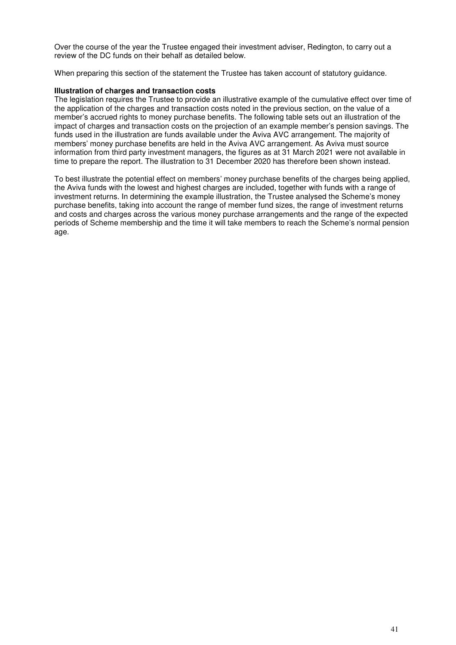Over the course of the year the Trustee engaged their investment adviser, Redington, to carry out a review of the DC funds on their behalf as detailed below.

When preparing this section of the statement the Trustee has taken account of statutory guidance.

## **Illustration of charges and transaction costs**

The legislation requires the Trustee to provide an illustrative example of the cumulative effect over time of the application of the charges and transaction costs noted in the previous section, on the value of a member's accrued rights to money purchase benefits. The following table sets out an illustration of the impact of charges and transaction costs on the projection of an example member's pension savings. The funds used in the illustration are funds available under the Aviva AVC arrangement. The majority of members' money purchase benefits are held in the Aviva AVC arrangement. As Aviva must source information from third party investment managers, the figures as at 31 March 2021 were not available in time to prepare the report. The illustration to 31 December 2020 has therefore been shown instead.

To best illustrate the potential effect on members' money purchase benefits of the charges being applied, the Aviva funds with the lowest and highest charges are included, together with funds with a range of investment returns. In determining the example illustration, the Trustee analysed the Scheme's money purchase benefits, taking into account the range of member fund sizes, the range of investment returns and costs and charges across the various money purchase arrangements and the range of the expected periods of Scheme membership and the time it will take members to reach the Scheme's normal pension age.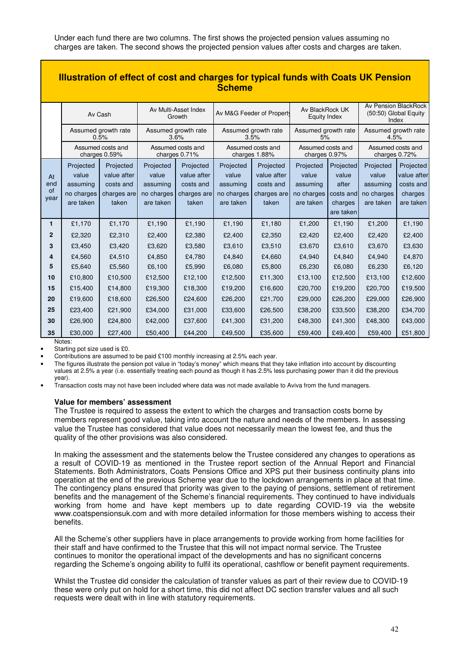Under each fund there are two columns. The first shows the projected pension values assuming no charges are taken. The second shows the projected pension values after costs and charges are taken.

| <b>Illustration of effect of cost and charges for typical funds with Coats UK Pension</b><br><b>Scheme</b> |                                                           |                                                               |                                                           |                                                               |                                                           |                                                               |                                                           |                                                                  |                                                           |                                                               |
|------------------------------------------------------------------------------------------------------------|-----------------------------------------------------------|---------------------------------------------------------------|-----------------------------------------------------------|---------------------------------------------------------------|-----------------------------------------------------------|---------------------------------------------------------------|-----------------------------------------------------------|------------------------------------------------------------------|-----------------------------------------------------------|---------------------------------------------------------------|
|                                                                                                            | Av Cash                                                   |                                                               | Av Multi-Asset Index<br>Growth                            |                                                               | Av M&G Feeder of Property                                 |                                                               | Av BlackRock UK<br>Equity Index                           |                                                                  | Av Pension BlackRock<br>(50:50) Global Equity<br>Index    |                                                               |
|                                                                                                            | Assumed growth rate<br>0.5%                               |                                                               | Assumed growth rate<br>3.6%                               |                                                               | Assumed growth rate<br>3.5%                               |                                                               | Assumed growth rate<br>5%                                 |                                                                  | Assumed growth rate<br>4.5%                               |                                                               |
|                                                                                                            | Assumed costs and<br>charges 0.59%                        |                                                               | Assumed costs and<br>charges 0.71%                        |                                                               | Assumed costs and<br>charges 1.88%                        |                                                               | Assumed costs and<br>charges 0.97%                        |                                                                  | Assumed costs and<br>charges 0.72%                        |                                                               |
| At<br>end<br>of<br>year                                                                                    | Projected<br>value<br>assuming<br>no charges<br>are taken | Projected<br>value after<br>costs and<br>charges are<br>taken | Projected<br>value<br>assuming<br>no charges<br>are taken | Projected<br>value after<br>costs and<br>charges are<br>taken | Projected<br>value<br>assuming<br>no charges<br>are taken | Projected<br>value after<br>costs and<br>charges are<br>taken | Projected<br>value<br>assuming<br>no charges<br>are taken | Projected<br>value<br>after<br>costs and<br>charges<br>are taken | Projected<br>value<br>assuming<br>no charges<br>are taken | Projected<br>value after<br>costs and<br>charges<br>are taken |
| 1                                                                                                          | £1,170                                                    | £1,170                                                        | £1,190                                                    | £1,190                                                        | £1,190                                                    | £1,180                                                        | £1,200                                                    | £1,190                                                           | £1,200                                                    | £1,190                                                        |
| 2<br>3                                                                                                     | £2,320<br>£3,450                                          | £2,310<br>£3,420                                              | £2,400<br>£3,620                                          | £2,380<br>£3,580                                              | £2,400<br>£3,610                                          | £2,350<br>£3,510                                              | £2,420<br>£3,670                                          | £2,400<br>£3,610                                                 | £2,420<br>£3,670                                          | £2,400<br>£3,630                                              |
| 4                                                                                                          | £4,560                                                    | £4,510                                                        | £4,850                                                    | £4,780                                                        | £4,840                                                    | £4,660                                                        | £4,940                                                    | £4,840                                                           | £4,940                                                    | £4,870                                                        |
| 5                                                                                                          | £5,640                                                    | £5,560                                                        | £6,100                                                    | £5,990                                                        | £6,080                                                    | £5,800                                                        | £6,230                                                    | £6,080                                                           | £6,230                                                    | £6,120                                                        |
| 10                                                                                                         | £10,800                                                   | £10,500                                                       | £12,500                                                   | £12,100                                                       | £12,500                                                   | £11,300                                                       | £13,100                                                   | £12,500                                                          | £13,100                                                   | £12,600                                                       |
| 15                                                                                                         | £15,400                                                   | £14,800                                                       | £19,300                                                   | £18,300                                                       | £19,200                                                   | £16,600                                                       | £20,700                                                   | £19,200                                                          | £20,700                                                   | £19,500                                                       |
| 20                                                                                                         | £19,600                                                   | £18,600                                                       | £26,500                                                   | £24,600                                                       | £26,200                                                   | £21,700                                                       | £29,000                                                   | £26,200                                                          | £29,000                                                   | £26,900                                                       |
| 25                                                                                                         | £23,400                                                   | £21,900                                                       | £34,000                                                   | £31,000                                                       | £33,600                                                   | £26,500                                                       | £38,200                                                   | £33,500                                                          | £38,200                                                   | £34,700                                                       |
| 30                                                                                                         | £26,900                                                   | £24,800                                                       | £42,000                                                   | £37,600                                                       | £41,300                                                   | £31,200                                                       | £48,300                                                   | £41,300                                                          | £48,300                                                   | £43,000                                                       |
| 35                                                                                                         | £30,000                                                   | £27,400                                                       | £50,400                                                   | £44,200                                                       | £49,500                                                   | £35,600                                                       | £59,400                                                   | £49,400                                                          | £59,400                                                   | £51,800                                                       |

Notes:

Starting pot size used is £0.

• Contributions are assumed to be paid £100 monthly increasing at 2.5% each year.

• The figures illustrate the pension pot value in "today's money" which means that they take inflation into account by discounting values at 2.5% a year (i.e. essentially treating each pound as though it has 2.5% less purchasing power than it did the previous year).

• Transaction costs may not have been included where data was not made available to Aviva from the fund managers.

### **Value for members' assessment**

The Trustee is required to assess the extent to which the charges and transaction costs borne by members represent good value, taking into account the nature and needs of the members. In assessing value the Trustee has considered that value does not necessarily mean the lowest fee, and thus the quality of the other provisions was also considered.

In making the assessment and the statements below the Trustee considered any changes to operations as a result of COVID-19 as mentioned in the Trustee report section of the Annual Report and Financial Statements. Both Administrators, Coats Pensions Office and XPS put their business continuity plans into operation at the end of the previous Scheme year due to the lockdown arrangements in place at that time. The contingency plans ensured that priority was given to the paying of pensions, settlement of retirement benefits and the management of the Scheme's financial requirements. They continued to have individuals working from home and have kept members up to date regarding COVID-19 via the website www.coatspensionsuk.com and with more detailed information for those members wishing to access their benefits.

All the Scheme's other suppliers have in place arrangements to provide working from home facilities for their staff and have confirmed to the Trustee that this will not impact normal service. The Trustee continues to monitor the operational impact of the developments and has no significant concerns regarding the Scheme's ongoing ability to fulfil its operational, cashflow or benefit payment requirements.

Whilst the Trustee did consider the calculation of transfer values as part of their review due to COVID-19 these were only put on hold for a short time, this did not affect DC section transfer values and all such requests were dealt with in line with statutory requirements.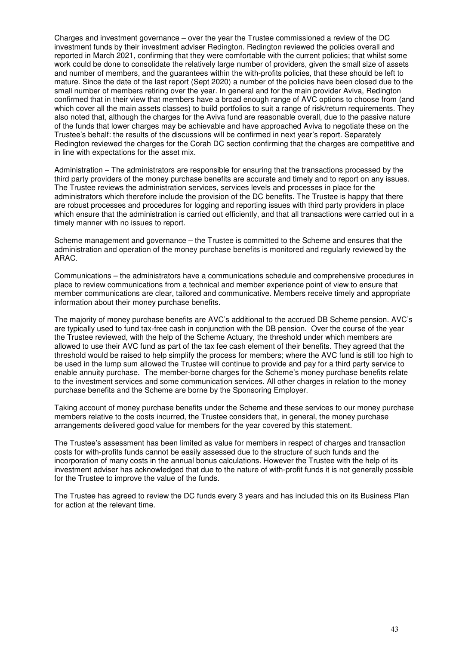Charges and investment governance – over the year the Trustee commissioned a review of the DC investment funds by their investment adviser Redington. Redington reviewed the policies overall and reported in March 2021, confirming that they were comfortable with the current policies; that whilst some work could be done to consolidate the relatively large number of providers, given the small size of assets and number of members, and the guarantees within the with-profits policies, that these should be left to mature. Since the date of the last report (Sept 2020) a number of the policies have been closed due to the small number of members retiring over the year. In general and for the main provider Aviva, Redington confirmed that in their view that members have a broad enough range of AVC options to choose from (and which cover all the main assets classes) to build portfolios to suit a range of risk/return requirements. They also noted that, although the charges for the Aviva fund are reasonable overall, due to the passive nature of the funds that lower charges may be achievable and have approached Aviva to negotiate these on the Trustee's behalf: the results of the discussions will be confirmed in next year's report. Separately Redington reviewed the charges for the Corah DC section confirming that the charges are competitive and in line with expectations for the asset mix.

Administration – The administrators are responsible for ensuring that the transactions processed by the third party providers of the money purchase benefits are accurate and timely and to report on any issues. The Trustee reviews the administration services, services levels and processes in place for the administrators which therefore include the provision of the DC benefits. The Trustee is happy that there are robust processes and procedures for logging and reporting issues with third party providers in place which ensure that the administration is carried out efficiently, and that all transactions were carried out in a timely manner with no issues to report.

Scheme management and governance – the Trustee is committed to the Scheme and ensures that the administration and operation of the money purchase benefits is monitored and regularly reviewed by the ARAC.

Communications – the administrators have a communications schedule and comprehensive procedures in place to review communications from a technical and member experience point of view to ensure that member communications are clear, tailored and communicative. Members receive timely and appropriate information about their money purchase benefits.

The majority of money purchase benefits are AVC's additional to the accrued DB Scheme pension. AVC's are typically used to fund tax-free cash in conjunction with the DB pension. Over the course of the year the Trustee reviewed, with the help of the Scheme Actuary, the threshold under which members are allowed to use their AVC fund as part of the tax fee cash element of their benefits. They agreed that the threshold would be raised to help simplify the process for members; where the AVC fund is still too high to be used in the lump sum allowed the Trustee will continue to provide and pay for a third party service to enable annuity purchase. The member-borne charges for the Scheme's money purchase benefits relate to the investment services and some communication services. All other charges in relation to the money purchase benefits and the Scheme are borne by the Sponsoring Employer.

Taking account of money purchase benefits under the Scheme and these services to our money purchase members relative to the costs incurred, the Trustee considers that, in general, the money purchase arrangements delivered good value for members for the year covered by this statement.

The Trustee's assessment has been limited as value for members in respect of charges and transaction costs for with-profits funds cannot be easily assessed due to the structure of such funds and the incorporation of many costs in the annual bonus calculations. However the Trustee with the help of its investment adviser has acknowledged that due to the nature of with-profit funds it is not generally possible for the Trustee to improve the value of the funds.

The Trustee has agreed to review the DC funds every 3 years and has included this on its Business Plan for action at the relevant time.